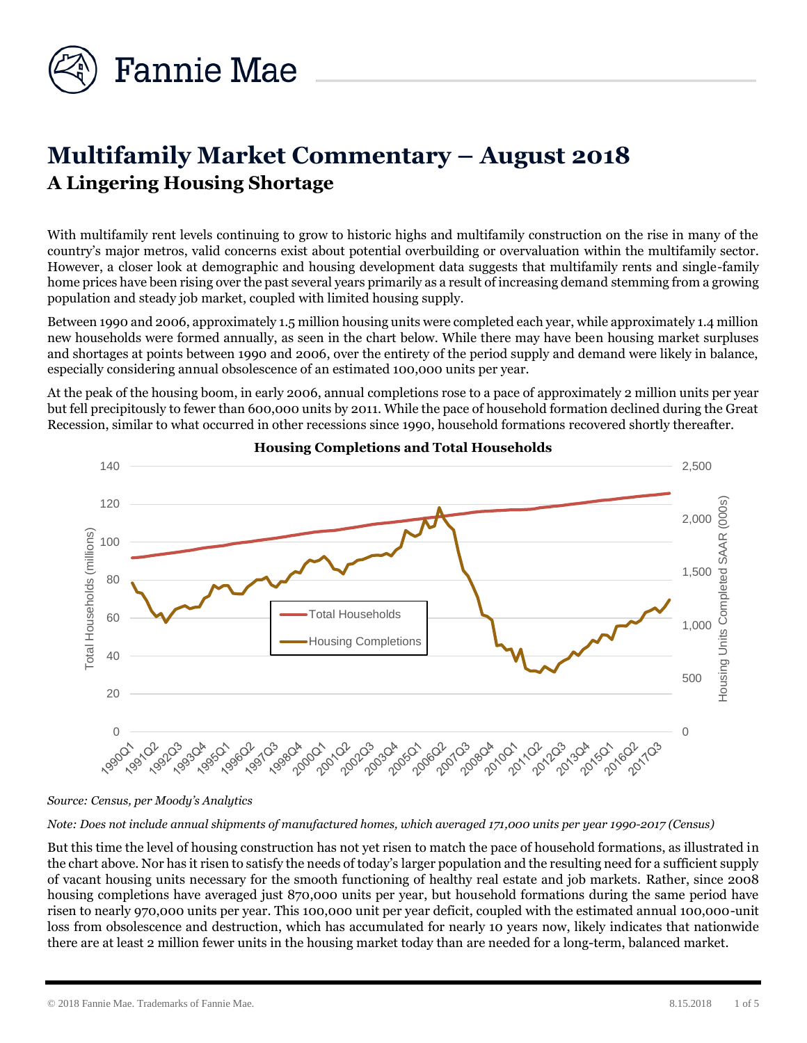

# **Multifamily Market Commentary – August 2018 A Lingering Housing Shortage**

With multifamily rent levels continuing to grow to historic highs and multifamily construction on the rise in many of the country's major metros, valid concerns exist about potential overbuilding or overvaluation within the multifamily sector. However, a closer look at demographic and housing development data suggests that multifamily rents and single-family home prices have been rising over the past several years primarily as a result of increasing demand stemming from a growing population and steady job market, coupled with limited housing supply.

Between 1990 and 2006, approximately 1.5 million housing units were completed each year, while approximately 1.4 million new households were formed annually, as seen in the chart below. While there may have been housing market surpluses and shortages at points between 1990 and 2006, over the entirety of the period supply and demand were likely in balance, especially considering annual obsolescence of an estimated 100,000 units per year.

At the peak of the housing boom, in early 2006, annual completions rose to a pace of approximately 2 million units per year but fell precipitously to fewer than 600,000 units by 2011. While the pace of household formation declined during the Great Recession, similar to what occurred in other recessions since 1990, household formations recovered shortly thereafter.



## **Housing Completions and Total Households**

*Source: Census, per Moody's Analytics*

*Note: Does not include annual shipments of manufactured homes, which averaged 171,000 units per year 1990-2017 (Census)*

But this time the level of housing construction has not yet risen to match the pace of household formations, as illustrated in the chart above. Nor has it risen to satisfy the needs of today's larger population and the resulting need for a sufficient supply of vacant housing units necessary for the smooth functioning of healthy real estate and job markets. Rather, since 2008 housing completions have averaged just 870,000 units per year, but household formations during the same period have risen to nearly 970,000 units per year. This 100,000 unit per year deficit, coupled with the estimated annual 100,000-unit loss from obsolescence and destruction, which has accumulated for nearly 10 years now, likely indicates that nationwide there are at least 2 million fewer units in the housing market today than are needed for a long-term, balanced market.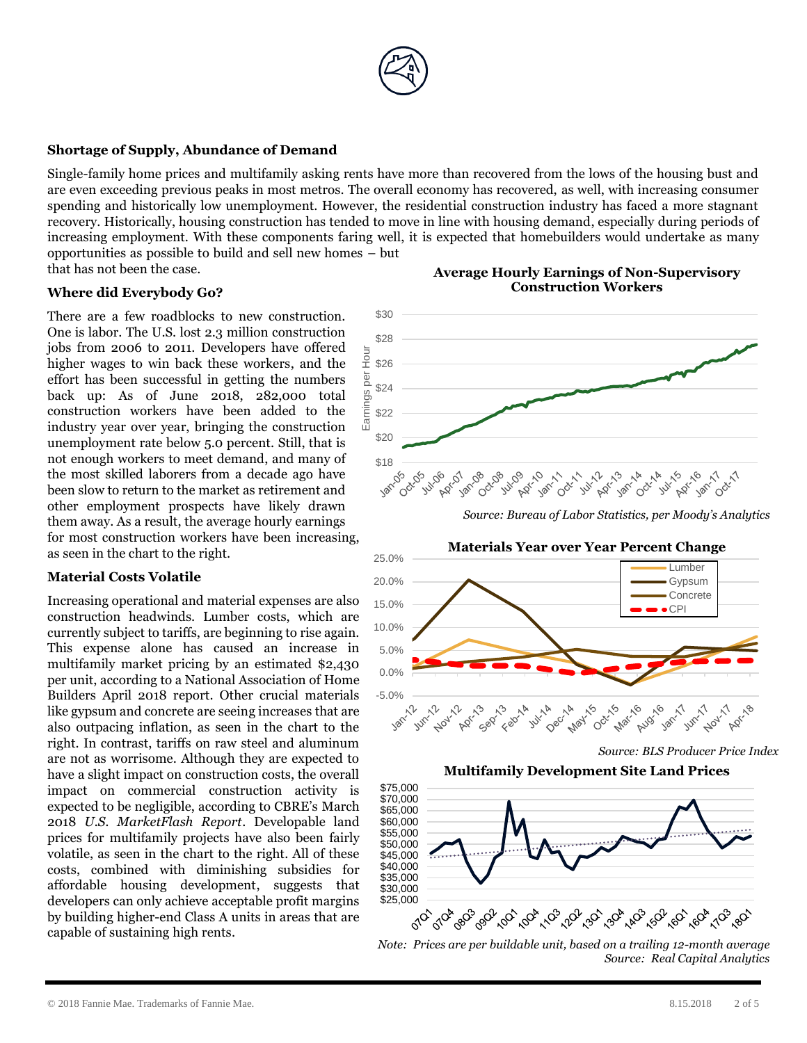

#### **Shortage of Supply, Abundance of Demand**

Single-family home prices and multifamily asking rents have more than recovered from the lows of the housing bust and are even exceeding previous peaks in most metros. The overall economy has recovered, as well, with increasing consumer spending and historically low unemployment. However, the residential construction industry has faced a more stagnant recovery. Historically, housing construction has tended to move in line with housing demand, especially during periods of increasing employment. With these components faring well, it is expected that homebuilders would undertake as many opportunities as possible to build and sell new homes – but that has not been the case.

#### **Where did Everybody Go?**

There are a few roadblocks to new construction. One is labor. The U.S. lost 2.3 million construction jobs from 2006 to 2011. Developers have offered higher wages to win back these workers, and the effort has been successful in getting the numbers back up: As of June 2018, 282,000 total construction workers have been added to the industry year over year, bringing the construction unemployment rate below 5.0 percent. Still, that is not enough workers to meet demand, and many of the most skilled laborers from a decade ago have been slow to return to the market as retirement and other employment prospects have likely drawn them away. As a result, the average hourly earnings for most construction workers have been increasing, as seen in the chart to the right.

#### **Material Costs Volatile**

Increasing operational and material expenses are also construction headwinds. Lumber costs, which are currently subject to tariffs, are beginning to rise again. This expense alone has caused an increase in multifamily market pricing by an estimated \$2,430 per unit, according to a National Association of Home Builders April 2018 report. Other crucial materials like gypsum and concrete are seeing increases that are also outpacing inflation, as seen in the chart to the right. In contrast, tariffs on raw steel and aluminum are not as worrisome. Although they are expected to have a slight impact on construction costs, the overall impact on commercial construction activity is expected to be negligible, according to CBRE's March 2018 *U.S. MarketFlash Report*. Developable land prices for multifamily projects have also been fairly volatile, as seen in the chart to the right. All of these costs, combined with diminishing subsidies for affordable housing development, suggests that developers can only achieve acceptable profit margins by building higher-end Class A units in areas that are capable of sustaining high rents.

#### **Average Hourly Earnings of Non-Supervisory Construction Workers**







*Note: Prices are per buildable unit, based on a trailing 12-month average Source: Real Capital Analytics*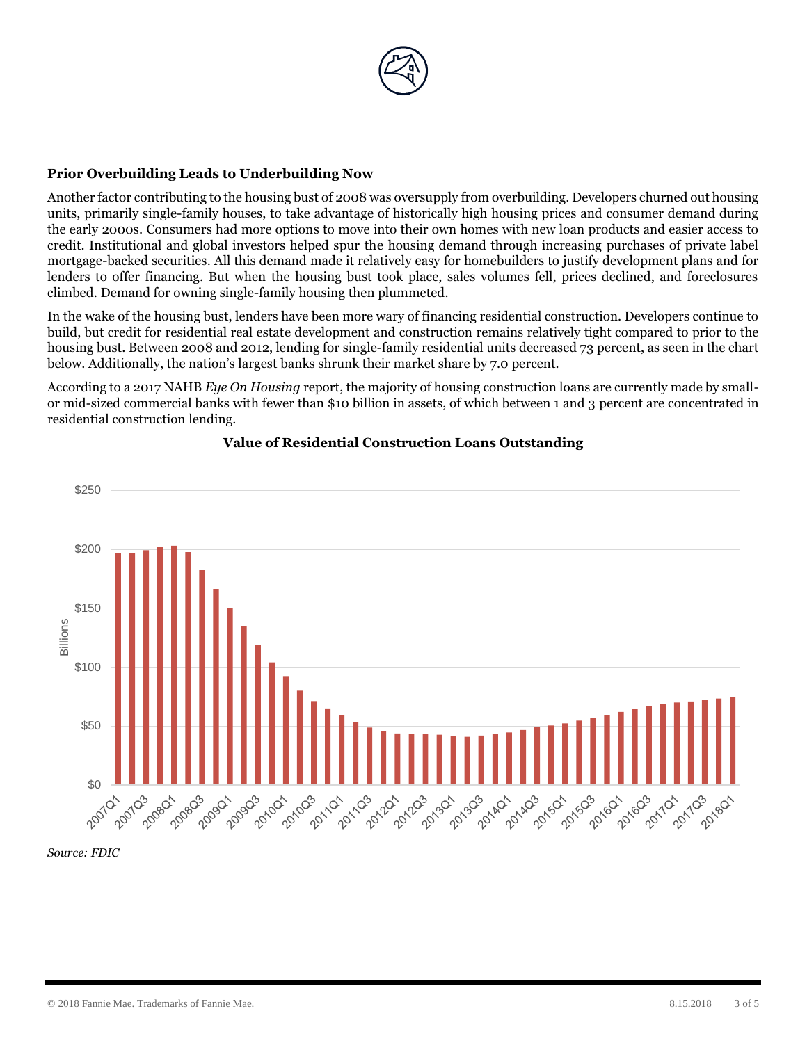

### **Prior Overbuilding Leads to Underbuilding Now**

Another factor contributing to the housing bust of 2008 was oversupply from overbuilding. Developers churned out housing units, primarily single-family houses, to take advantage of historically high housing prices and consumer demand during the early 2000s. Consumers had more options to move into their own homes with new loan products and easier access to credit. Institutional and global investors helped spur the housing demand through increasing purchases of private label mortgage-backed securities. All this demand made it relatively easy for homebuilders to justify development plans and for lenders to offer financing. But when the housing bust took place, sales volumes fell, prices declined, and foreclosures climbed. Demand for owning single-family housing then plummeted.

In the wake of the housing bust, lenders have been more wary of financing residential construction. Developers continue to build, but credit for residential real estate development and construction remains relatively tight compared to prior to the housing bust. Between 2008 and 2012, lending for single-family residential units decreased 73 percent, as seen in the chart below. Additionally, the nation's largest banks shrunk their market share by 7.0 percent.

According to a 2017 NAHB *Eye On Housing* report, the majority of housing construction loans are currently made by smallor mid-sized commercial banks with fewer than \$10 billion in assets, of which between 1 and 3 percent are concentrated in residential construction lending.



## **Value of Residential Construction Loans Outstanding**

*Source: FDIC*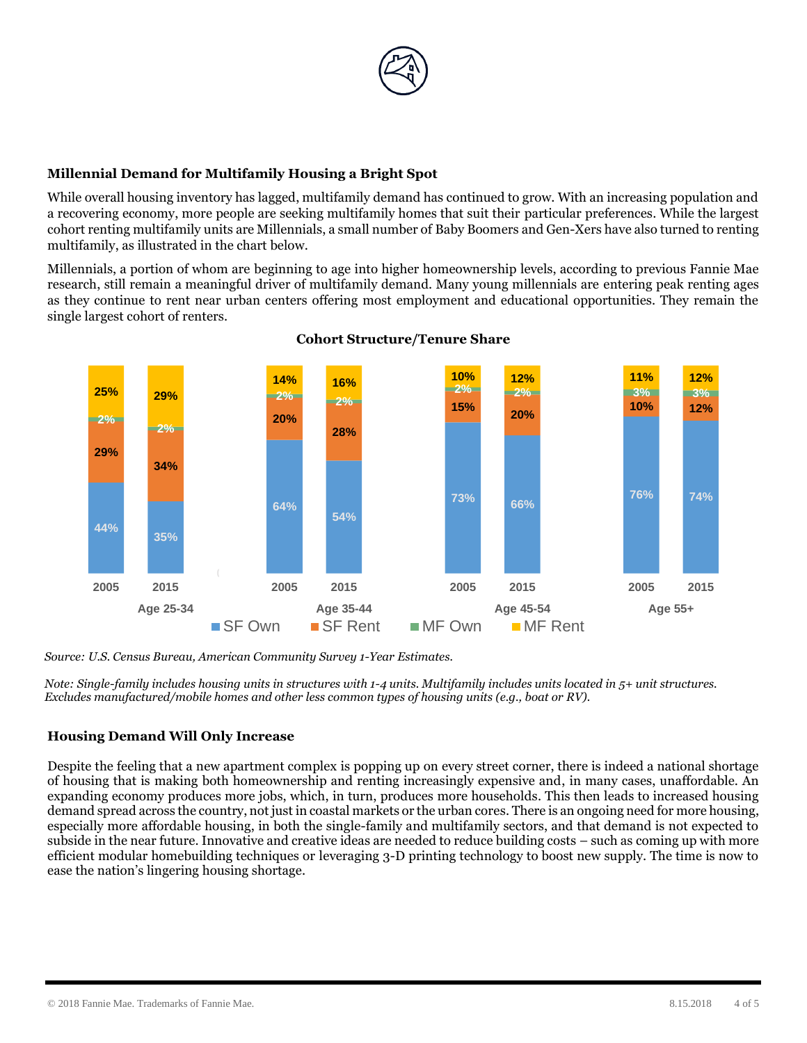

# **Millennial Demand for Multifamily Housing a Bright Spot**

While overall housing inventory has lagged, multifamily demand has continued to grow. With an increasing population and a recovering economy, more people are seeking multifamily homes that suit their particular preferences. While the largest cohort renting multifamily units are Millennials, a small number of Baby Boomers and Gen-Xers have also turned to renting multifamily, as illustrated in the chart below.

Millennials, a portion of whom are beginning to age into higher homeownership levels, according to previous Fannie Mae research, still remain a meaningful driver of multifamily demand. Many young millennials are entering peak renting ages as they continue to rent near urban centers offering most employment and educational opportunities. They remain the single largest cohort of renters.



## **Cohort Structure/Tenure Share**

*Source: U.S. Census Bureau, American Community Survey 1-Year Estimates.*

*Note: Single-family includes housing units in structures with 1-4 units. Multifamily includes units located in 5+ unit structures. Excludes manufactured/mobile homes and other less common types of housing units (e.g., boat or RV).* 

## **Housing Demand Will Only Increase**

Despite the feeling that a new apartment complex is popping up on every street corner, there is indeed a national shortage of housing that is making both homeownership and renting increasingly expensive and, in many cases, unaffordable. An expanding economy produces more jobs, which, in turn, produces more households. This then leads to increased housing demand spread across the country, not just in coastal markets or the urban cores. There is an ongoing need for more housing, especially more affordable housing, in both the single-family and multifamily sectors, and that demand is not expected to subside in the near future. Innovative and creative ideas are needed to reduce building costs – such as coming up with more efficient modular homebuilding techniques or leveraging 3-D printing technology to boost new supply. The time is now to ease the nation's lingering housing shortage.